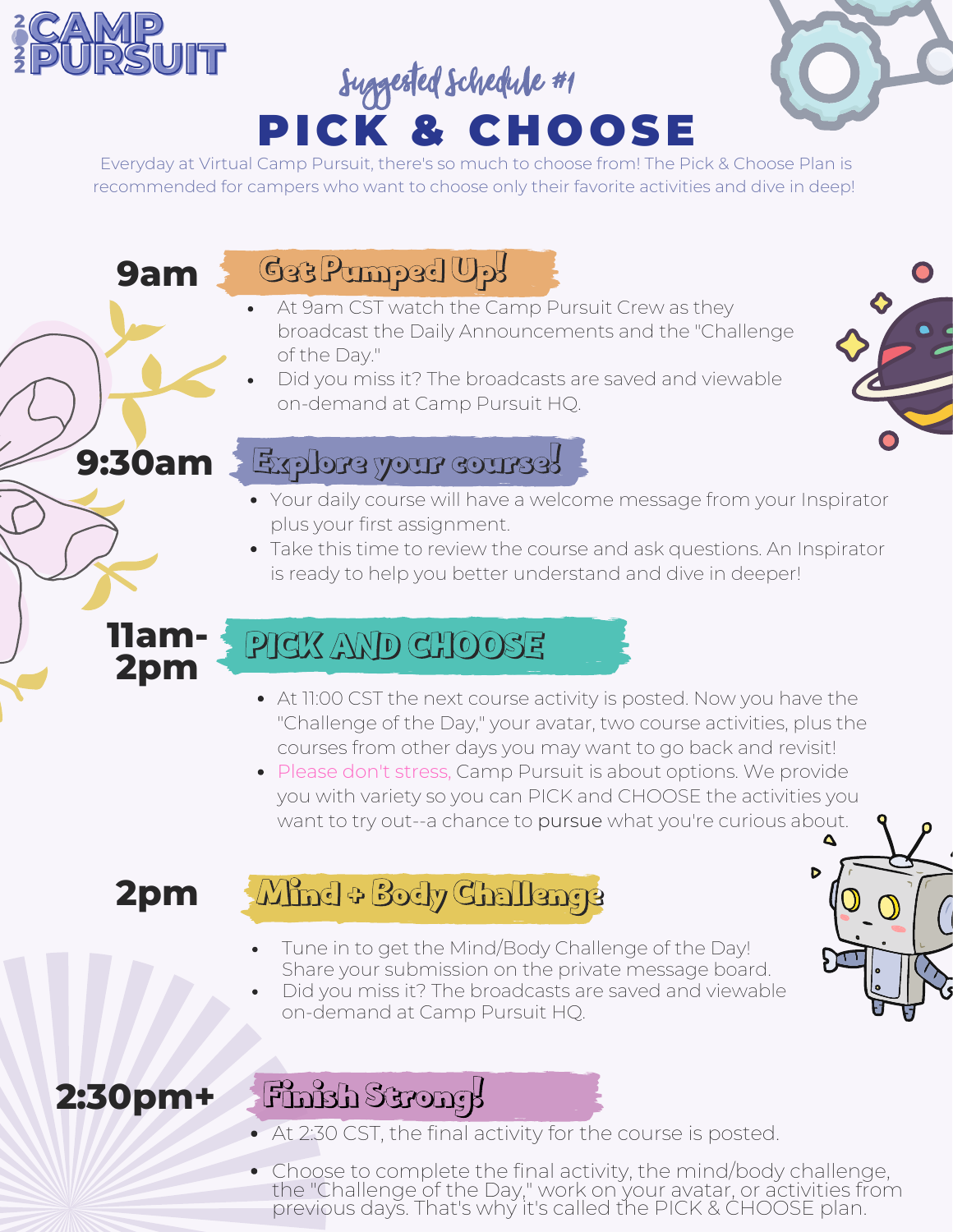

# PICK & CHOOSE Suggested Schedule #1



Everyday at Virtual Camp Pursuit, there's so much to choose from! The Pick & Choose Plan is recommended for campers who want to choose only their favorite activities and dive in deep!

**9am**

**9:30am**

**11am-2pm**

## Get Pumped Up!

- At 9am CST watch the Camp Pursuit Crew as they broadcast the Daily Announcements and the "Challenge of the Day."
- Did you miss it? The broadcasts are saved and viewable on-demand at Camp Pursuit HQ.



#### Explore your course!

- Your daily course will have a welcome message from your Inspirator plus your first assignment.
- Take this time to review the course and ask questions. An Inspirator is ready to help you better understand and dive in deeper!

# PICK AND CHOOSE

- At 11:00 CST the next course activity is posted. Now you have the "Challenge of the Day," your avatar, two course activities, plus the courses from other days you may want to go back and revisit!
- Please don't stress, Camp Pursuit is about options. We provide you with variety so you can PICK and CHOOSE the activities you want to try out--a chance to pursue what you're curious about.

# **2pm**

## Mind + Body Challenge

- Tune in to get the Mind/Body Challenge of the Day! Share your submission on the private message board.
- Did you miss it? The broadcasts are saved and viewable on-demand at Camp Pursuit HQ.



## **2:30pm+**

## Finish Strong!

- At 2:30 CST, the final activity for the course is posted.
- Choose to complete the final activity, the mind/body challenge, the "Challenge of the Day," work on your avatar, or activities from previous days. That's why it's called the PICK & CHOOSE plan.